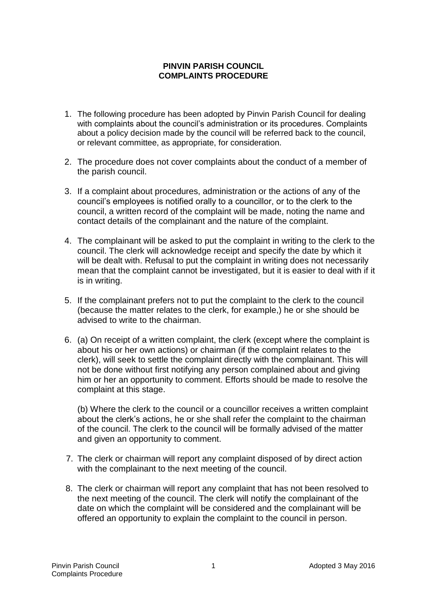## **PINVIN PARISH COUNCIL COMPLAINTS PROCEDURE**

- 1. The following procedure has been adopted by Pinvin Parish Council for dealing with complaints about the council's administration or its procedures. Complaints about a policy decision made by the council will be referred back to the council, or relevant committee, as appropriate, for consideration.
- 2. The procedure does not cover complaints about the conduct of a member of the parish council.
- 3. If a complaint about procedures, administration or the actions of any of the council's employees is notified orally to a councillor, or to the clerk to the council, a written record of the complaint will be made, noting the name and contact details of the complainant and the nature of the complaint.
- 4. The complainant will be asked to put the complaint in writing to the clerk to the council. The clerk will acknowledge receipt and specify the date by which it will be dealt with. Refusal to put the complaint in writing does not necessarily mean that the complaint cannot be investigated, but it is easier to deal with if it is in writing.
- 5. If the complainant prefers not to put the complaint to the clerk to the council (because the matter relates to the clerk, for example,) he or she should be advised to write to the chairman.
- 6. (a) On receipt of a written complaint, the clerk (except where the complaint is about his or her own actions) or chairman (if the complaint relates to the clerk), will seek to settle the complaint directly with the complainant. This will not be done without first notifying any person complained about and giving him or her an opportunity to comment. Efforts should be made to resolve the complaint at this stage.

(b) Where the clerk to the council or a councillor receives a written complaint about the clerk's actions, he or she shall refer the complaint to the chairman of the council. The clerk to the council will be formally advised of the matter and given an opportunity to comment.

- 7. The clerk or chairman will report any complaint disposed of by direct action with the complainant to the next meeting of the council.
- 8. The clerk or chairman will report any complaint that has not been resolved to the next meeting of the council. The clerk will notify the complainant of the date on which the complaint will be considered and the complainant will be offered an opportunity to explain the complaint to the council in person.